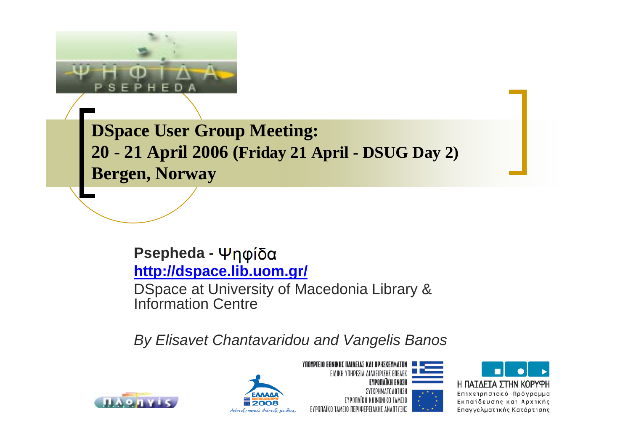

**DSpace User Group Meeting: 20 - 21 April 2006 (Friday 21 April - DSUG Day 2) Bergen, Norway**

#### **Psepheda <http://dspace.lib.uom.gr/>**

DSpace at University of Macedonia Library & Information Centre

*By Elisavet Chantavaridou and Vangelis Banos*







**YNOYPIEIO EONIKHE NAIAEIAE KAI OPHEKEYMATOJ** 



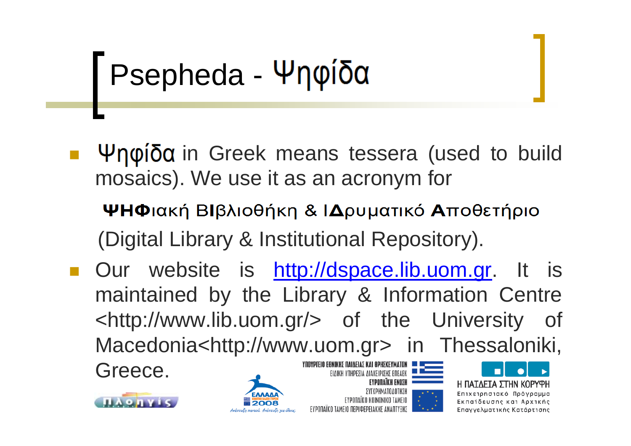# Psepheda - Ψηφίδα

- $\Psi$ ηφίδα in Greek means tessera (used to build mosaics). We use it as an acronym for
	- ΨΗΦιακή ΒΙβλιοθήκη & ΙΔρυματικό Αποθετήριο (Digital Library & Institutional Repository).
- Our website is [http://dspace.lib.uom.gr](http://dspace.lib.uom.gr/). It is maintained by the Library & Information Centre <http://www.lib.uom.gr/> of the University of Macedonia<http://www.uom.gr> in Thessaloniki, **YNOYPIEIO EONIKH∑ NAIAEIA∑ KAI OPH∑KEYMATO** Greece.ΕΙΔΙΚΗ ΥΠΗΡΕΣΙΑ ΔΙΑΧΕΙΡΙΣΗΣ ΕΠΕΔΕΙ









Η ΠΑΤΛΕΤΑ ΣΤΗΝ ΚΟΡΥΦΗ Επιχειρησιακό Πρόγραμμα Εκπαίδευσης και Αρχικής Επαγγελματικής Κατάρτισης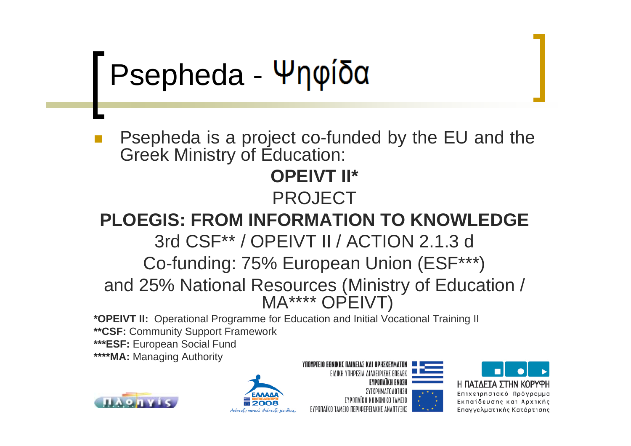Psepheda - Ψηφίδα

 Psepheda is a project co-funded by the EU and the Greek Ministry of Education:

#### **OPEIVT II\*** PROJECT

#### **PLOEGIS: FROM INFORMATION TO KNOWLEDGE**

3rd CSF\*\* / OPEIVT II / ACTION 2.1.3 d

Co-funding: 75% European Union (ESF\*\*\*)

and 25% National Resources (Ministry of Education / MA\*\*\*\* OPEIVT)

**\*OPEIVT II:** Operational Programme for Education and Initial Vocational Training II **\*\*CSF:** Community Support Framework

**\*\*\*ESF:** European Social Fund

**\*\*\*\*MA:** Managing Authority









ΣΥΓΧΡΗΜΑΤΟΛΟΤΗΣΗ





Επιχειρησιακό Πρόγραμμα Εκπαίδευσης και Αρχικής Επαγγελματικής Κατάρτισης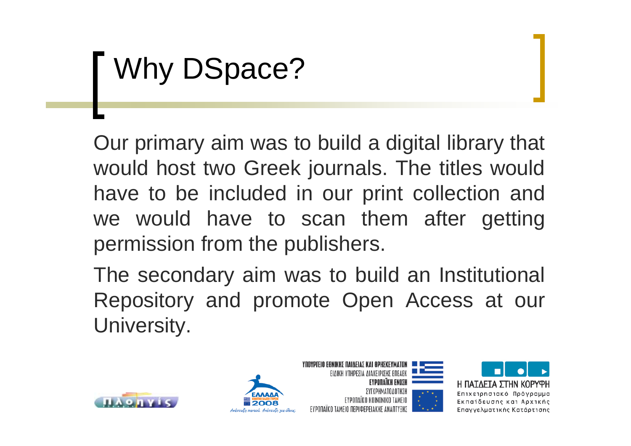# Why DSpace?

Our primary aim was to build a digital library that would host two Greek journals. The titles would have to be included in our print collection and we would have to scan them after getting permission from the publishers.

The secondary aim was to build an Institutional Repository and promote Open Access at our University.







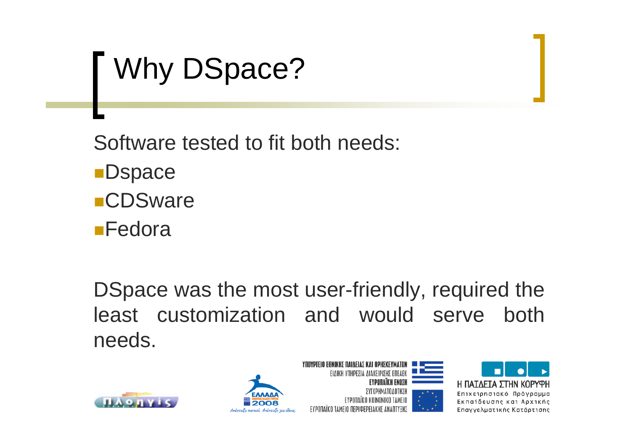# Why DSpace?

Software tested to fit both needs:

Ανάπτυξη παντού. Ανάπτυξη για όλους

- **D**space **CDSware**
- **Fedora**

DSpace was the most user-friendly, required the least customization and would serve both needs.





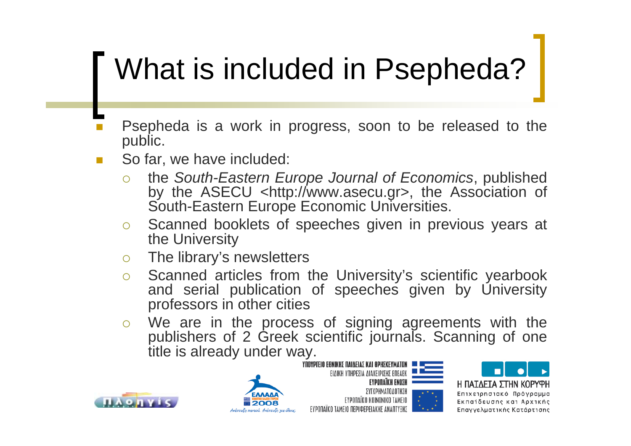# What is included in Psepheda?

- П Psepheda is a work in progress, soon to be released to the public.
- П So far, we have included:
	- ${\color{black} \bigcirc}$  the *South-Eastern Europe Journal of Economics*, published by the ASECU <http://www.asecu.gr>, the Association of South-Eastern Europe Economic Universities.
	- $\bigcirc$  $\circ$  Scanned booklets of speeches given in previous years at the University
	- $\circ$ The library's newsletters
	- $\bigcap$  Scanned articles from the University's scientific yearbook and serial publication of speeches given by University professors in other cities
	- $\circ$  We are in the process of signing agreements with the publishers of 2 Greek scientific journals. Scanning of one title is already under way.









Η ΠΑΤΛΕΤΑ ΣΤΗΝ ΚΟΡΥΦΗ Επιχειρησιακό Πρόγραμμα Εκπαίδευσης και Αρχικής Επαγγελματικής Κατάρτισης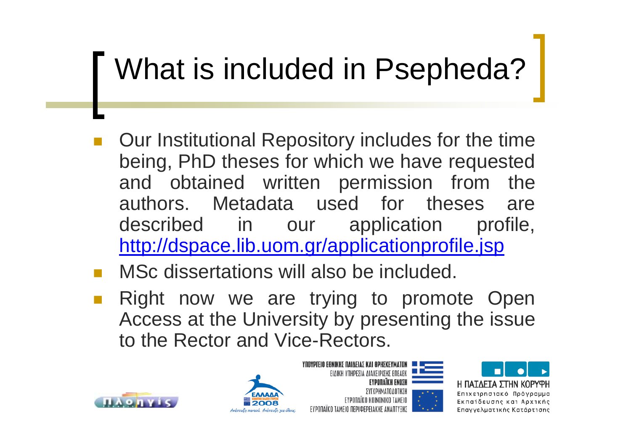# What is included in Psepheda?

- $\overline{\phantom{a}}$  Our Institutional Repository includes for the time being, PhD theses for which we have requested and obtained written permission from the authors. Metadata used for theses are described in our application profile, <http://dspace.lib.uom.gr/applicationprofile.jsp>
- MSc dissertations will also be included.
- Right now we are trying to promote Open Access at the University by presenting the issue to the Rector and Vice-Rectors.









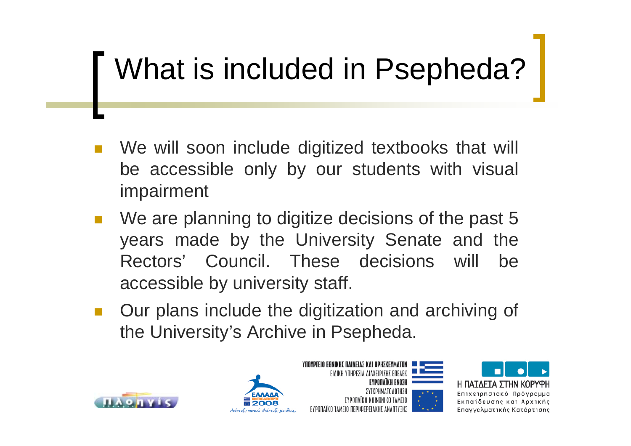# What is included in Psepheda?

- We will soon include digitized textbooks that will be accessible only by our students with visual impairment
- We are planning to digitize decisions of the past 5 years made by the University Senate and the Rectors' Council. These decisions will be accessible by university staff.
- Our plans include the digitization and archiving of the University's Archive in Psepheda.







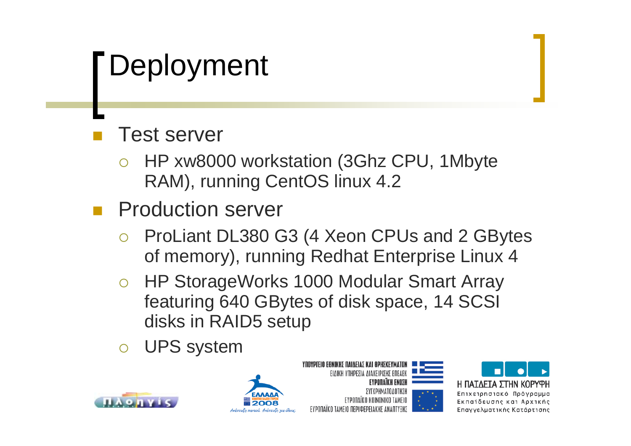### Deployment

#### Test server

- $\bigcirc$  HP xw8000 workstation (3Ghz CPU, 1Mbyte RAM), running CentOS linux 4.2
- Production server
	- $\bigcirc$  ProLiant DL380 G3 (4 Xeon CPUs and 2 GBytes of memory), running Redhat Enterprise Linux 4
	- o HP StorageWorks 1000 Modular Smart Array featuring 640 GBytes of disk space, 14 SCSI disks in RAID5 setup
	- ${\bigcirc}$ UPS system









Επιχειρησιακό Πρόγραμμα Εκπαίδευσης και Αρχικής Επαγγελματικής Κατάρτισης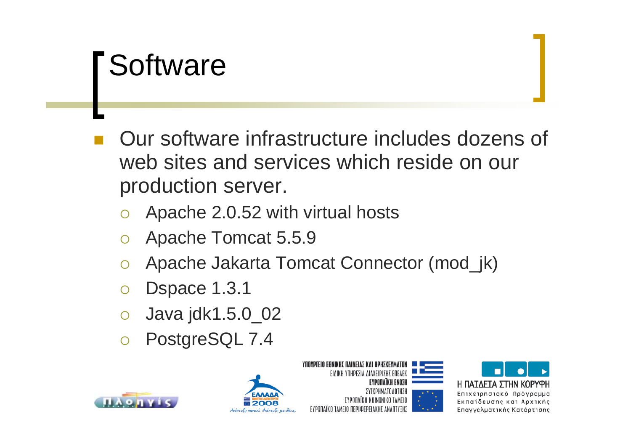#### **Software**

- $\mathbb{R}^2$  Our software infrastructure includes dozens of web sites and services which reside on our production server.
	- ${\color{black} \bigcirc}$ Apache 2.0.52 with virtual hosts
	- $\bigcirc$ Apache Tomcat 5.5.9
	- $\bigcap$ Apache Jakarta Tomcat Connector (mod\_jk)
	- ${\color{black} \bigcirc}$ Dspace 1.3.1
	- ${\bigcirc}$ Java jdk1.5.0\_02
	- $\bigcirc$ PostgreSQL 7.4











Εκπαίδευσης και Αρχικής Επαγγελματικής Κατάρτισης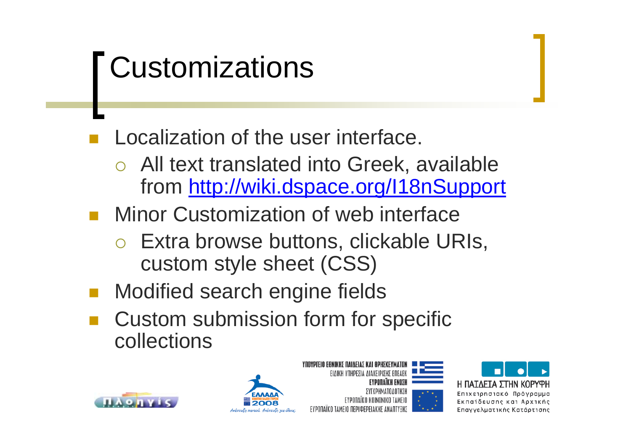## **Customizations**

#### Localization of the user interface.

- ${\color{black} \bigcirc}$  All text translated into Greek, available from <http://wiki.dspace.org/I18nSupport>
- **Ninor Customization of web interface** 
	- o Extra browse buttons, clickable URIs, custom style sheet (CSS)
- Modified search engine fields
- Custom submission form for specific collections









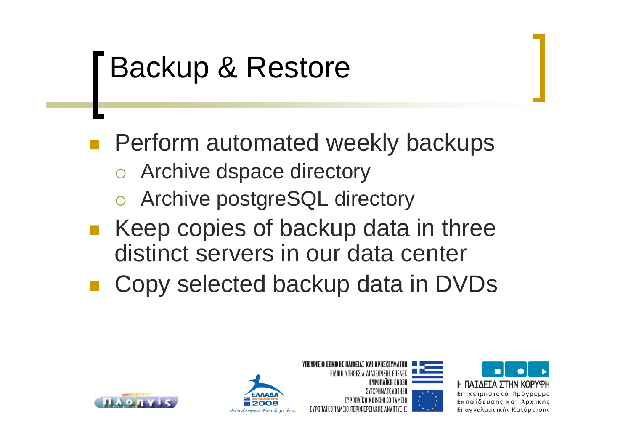### Backup & Restore

**Perform automated weekly backups** 

- o Archive dspace directory
- o Archive postgreSQL directory
- Keep copies of backup data in three distinct servers in our data center
- Copy selected backup data in DVDs